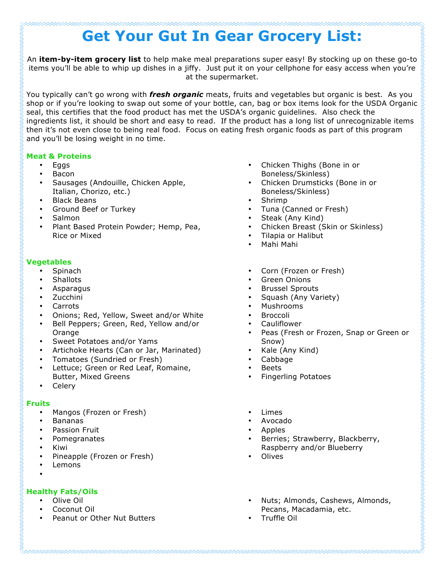# **Get Your Gut In Gear Grocery List:**

An **item-by-item grocery list** to help make meal preparations super easy! By stocking up on these go-to items you'll be able to whip up dishes in a jiffy. Just put it on your cellphone for easy access when you're at the supermarket.

You typically can't go wrong with *fresh organic* meats, fruits and vegetables but organic is best. As you shop or if you're looking to swap out some of your bottle, can, bag or box items look for the USDA Organic  $\S$ seal, this certifies that the food product has met the USDA's organic guidelines. Also check the ingredients list, it should be short and easy to read. If the product has a long list of unrecognizable items then it's not even close to being real food. Focus on eating fresh organic foods as part of this program and you'll be losing weight in no time.

#### **Meat & Proteins**

- Eggs
- Bacon
- Sausages (Andouille, Chicken Apple, Italian, Chorizo, etc.)
- Black Beans
- Ground Beef or Turkey
- Salmon
- Plant Based Protein Powder; Hemp, Pea, Rice or Mixed

#### **Vegetables**

- Spinach
- **Shallots**
- Asparagus
- Zucchini
- Carrots
- Onions; Red, Yellow, Sweet and/or White
- Bell Peppers; Green, Red, Yellow and/or **Orange**
- Sweet Potatoes and/or Yams
- Artichoke Hearts (Can or Jar, Marinated)
- Tomatoes (Sundried or Fresh)
- Lettuce; Green or Red Leaf, Romaine, Butter, Mixed Greens
- Celery

## **Fruits**

- Mangos (Frozen or Fresh)
- Bananas
- Passion Fruit
- Pomegranates
- Kiwi
- Pineapple (Frozen or Fresh)
- **Lemons**
- •

## **Healthy Fats/Oils**

- Olive Oil
- Coconut Oil
- Peanut or Other Nut Butters
- Chicken Thighs (Bone in or Boneless/Skinless)
- Chicken Drumsticks (Bone in or Boneless/Skinless)
- Shrimp
- Tuna (Canned or Fresh)
- Steak (Any Kind)
- Chicken Breast (Skin or Skinless)
- Tilapia or Halibut
- Mahi Mahi
- Corn (Frozen or Fresh)
- Green Onions
- Brussel Sprouts
- Squash (Any Variety)
- Mushrooms
- **Broccoli**
- **Cauliflower**
- Peas (Fresh or Frozen, Snap or Green or Snow)

- Kale (Any Kind)
- Cabbage
- **Beets**
- Fingerling Potatoes
- **Limes**
- Avocado
- Apples
- Berries; Strawberry, Blackberry, Raspberry and/or Blueberry
- **Olives**
- Nuts; Almonds, Cashews, Almonds, Pecans, Macadamia, etc.
- Truffle Oil